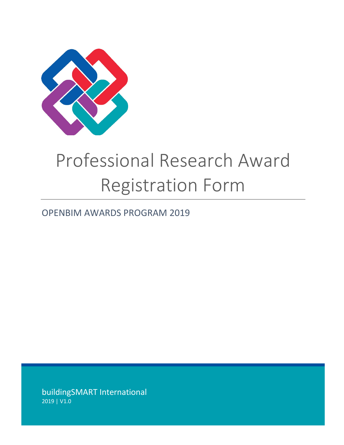

## Professional Research Award Registration Form

## OPENBIM AWARDS PROGRAM 2019

buildingSMART International 2019 | V1.0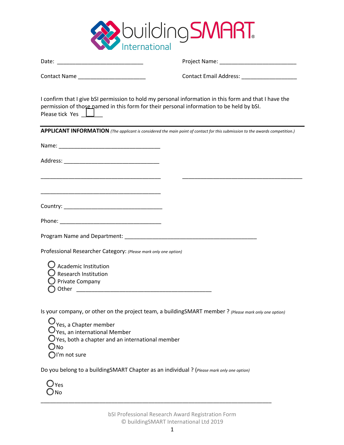

| permission of those named in this form for their personal information to be held by bSI.<br>Please tick Yes $\Box$                                                              | I confirm that I give bSI permission to hold my personal information in this form and that I have the                        |
|---------------------------------------------------------------------------------------------------------------------------------------------------------------------------------|------------------------------------------------------------------------------------------------------------------------------|
|                                                                                                                                                                                 | APPLICANT INFORMATION (The applicant is considered the main point of contact for this submission to the awards competition.) |
|                                                                                                                                                                                 |                                                                                                                              |
|                                                                                                                                                                                 |                                                                                                                              |
| <u> 1989 - Johann John Harry Harry Harry Harry Harry Harry Harry Harry Harry Harry Harry Harry Harry Harry Harry H</u>                                                          |                                                                                                                              |
| <u> 1989 - Johann Harry Harry Harry Harry Harry Harry Harry Harry Harry Harry Harry Harry Harry Harry Harry Harry</u>                                                           |                                                                                                                              |
|                                                                                                                                                                                 |                                                                                                                              |
|                                                                                                                                                                                 |                                                                                                                              |
| Professional Researcher Category: (Please mark only one option)                                                                                                                 |                                                                                                                              |
| Academic Institution<br><b>Research Institution</b><br>Private Company                                                                                                          |                                                                                                                              |
| $Q_{\text{Yes, a Chapter member}}$<br>$\mathcal I$ Yes, an international Member<br>$\mathcal I$ Yes, both a chapter and an international member<br>No<br>$\bigcap$ I'm not sure | Is your company, or other on the project team, a buildingSMART member ? (Please mark only one option)                        |

Do you belong to a buildingSMART Chapter as an individual ? (*Please mark only one option)*

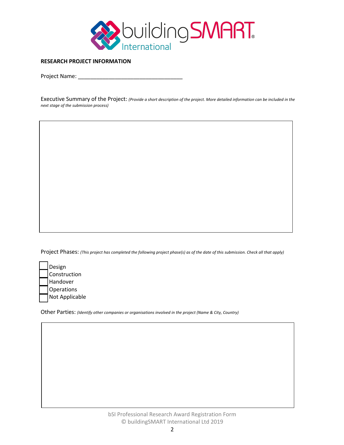

## **RESEARCH PROJECT INFORMATION**

Project Name: \_\_\_\_\_\_\_

Executive Summary of the Project: *(Provide a short description of the project. More detailed information can be included in the next stage of the submission process)*

Project Phases: *(This project has completed the following project phase(s) as of the date of this submission. Check all that apply)*

| Design         |
|----------------|
| Construction   |
| Handover       |
| Operations     |
| Not Applicable |

Other Parties: *(Identify other companies or organisations involved in the project (Name & City, Country)*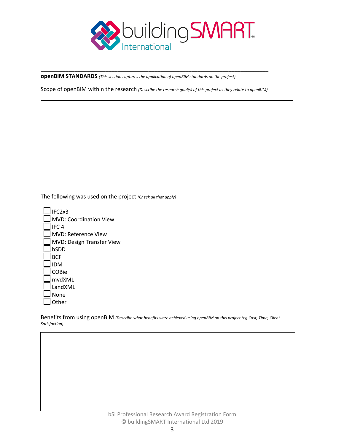

**openBIM STANDARDS** *(This section captures the application of openBIM standards on the project)*

Scope of openBIM within the research *(Describe the research goal(s) of this project as they relate to openBIM)*

\_\_\_\_\_\_\_\_\_\_\_\_\_\_\_\_\_\_\_\_\_\_\_\_\_\_\_\_\_\_\_\_\_\_\_\_\_\_\_\_\_\_\_\_\_\_\_\_\_\_\_\_\_\_\_\_\_\_\_\_\_\_\_\_\_\_\_\_\_\_\_\_\_\_

The following was used on the project *(Check all that apply)*

| IFC2x3                        |
|-------------------------------|
| <b>MVD: Coordination View</b> |
| IFC <sub>4</sub>              |
| MVD: Reference View           |
| MVD: Design Transfer View     |
| bSDD                          |
| <b>BCF</b>                    |
| <b>IDM</b>                    |
| COBie                         |
| mvdXML                        |
| LandXML                       |
| None                          |
| ther                          |

Benefits from using openBIM *(Describe what benefits were achieved using openBIM on this project (eg Cost, Time, Client Satisfaction)*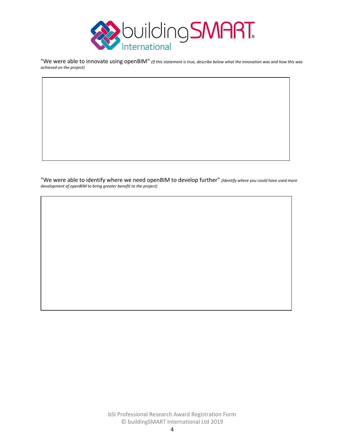

"We were able to innovate using openBIM" *(If this statement is true, describe below what the innovation was and how this was achieved on the project)*

"We were able to identify where we need openBIM to develop further" *(Identify where you could have used more development of openBIM to bring greater benefit to the project)*